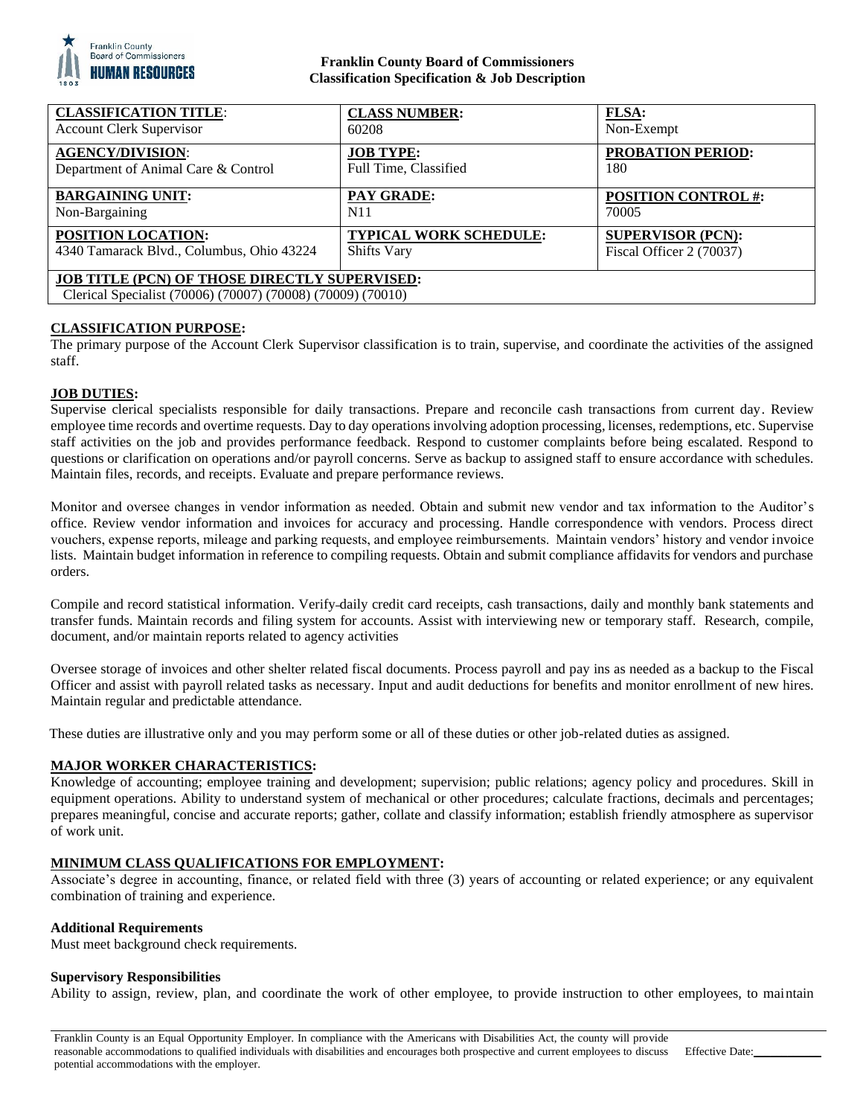

## **Franklin County Board of Commissioners Classification Specification & Job Description**

| <b>CLASSIFICATION TITLE:</b>                                                                                        | <b>CLASS NUMBER:</b>          | FLSA:                      |
|---------------------------------------------------------------------------------------------------------------------|-------------------------------|----------------------------|
| <b>Account Clerk Supervisor</b>                                                                                     | 60208                         | Non-Exempt                 |
| <b>AGENCY/DIVISION:</b>                                                                                             | <b>JOB TYPE:</b>              | <b>PROBATION PERIOD:</b>   |
| Department of Animal Care & Control                                                                                 | Full Time, Classified         | 180                        |
| <b>BARGAINING UNIT:</b>                                                                                             | PAY GRADE:                    | <b>POSITION CONTROL #:</b> |
| Non-Bargaining                                                                                                      | N11                           | 70005                      |
| POSITION LOCATION:                                                                                                  | <b>TYPICAL WORK SCHEDULE:</b> | <b>SUPERVISOR (PCN):</b>   |
| 4340 Tamarack Blvd., Columbus, Ohio 43224                                                                           | <b>Shifts Vary</b>            | Fiscal Officer 2 (70037)   |
| <b>JOB TITLE (PCN) OF THOSE DIRECTLY SUPERVISED:</b><br>Clerical Specialist (70006) (70007) (70008) (70009) (70010) |                               |                            |

## **CLASSIFICATION PURPOSE:**

The primary purpose of the Account Clerk Supervisor classification is to train, supervise, and coordinate the activities of the assigned staff.

## **JOB DUTIES:**

Supervise clerical specialists responsible for daily transactions. Prepare and reconcile cash transactions from current day. Review employee time records and overtime requests. Day to day operations involving adoption processing, licenses, redemptions, etc. Supervise staff activities on the job and provides performance feedback. Respond to customer complaints before being escalated. Respond to questions or clarification on operations and/or payroll concerns. Serve as backup to assigned staff to ensure accordance with schedules. Maintain files, records, and receipts. Evaluate and prepare performance reviews.

Monitor and oversee changes in vendor information as needed. Obtain and submit new vendor and tax information to the Auditor's office. Review vendor information and invoices for accuracy and processing. Handle correspondence with vendors. Process direct vouchers, expense reports, mileage and parking requests, and employee reimbursements. Maintain vendors' history and vendor invoice lists. Maintain budget information in reference to compiling requests. Obtain and submit compliance affidavits for vendors and purchase orders.

Compile and record statistical information. Verify daily credit card receipts, cash transactions, daily and monthly bank statements and transfer funds. Maintain records and filing system for accounts. Assist with interviewing new or temporary staff. Research, compile, document, and/or maintain reports related to agency activities

Oversee storage of invoices and other shelter related fiscal documents. Process payroll and pay ins as needed as a backup to the Fiscal Officer and assist with payroll related tasks as necessary. Input and audit deductions for benefits and monitor enrollment of new hires. Maintain regular and predictable attendance.

These duties are illustrative only and you may perform some or all of these duties or other job-related duties as assigned.

## **MAJOR WORKER CHARACTERISTICS:**

Knowledge of accounting; employee training and development; supervision; public relations; agency policy and procedures. Skill in equipment operations. Ability to understand system of mechanical or other procedures; calculate fractions, decimals and percentages; prepares meaningful, concise and accurate reports; gather, collate and classify information; establish friendly atmosphere as supervisor of work unit.

# **MINIMUM CLASS QUALIFICATIONS FOR EMPLOYMENT:**

Associate's degree in accounting, finance, or related field with three (3) years of accounting or related experience; or any equivalent combination of training and experience.

### **Additional Requirements**

Must meet background check requirements.

### **Supervisory Responsibilities**

Ability to assign, review, plan, and coordinate the work of other employee, to provide instruction to other employees, to maintain

Effective Date: